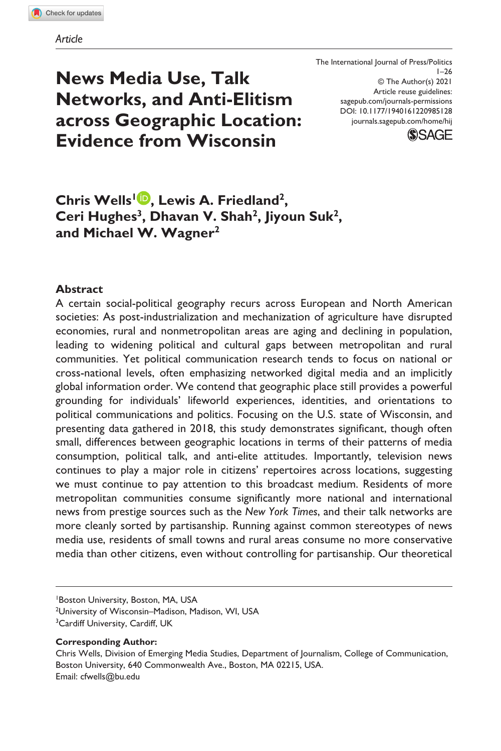**News Media Use, Talk Networks, and Anti-Elitism across Geographic Location: Evidence from Wisconsin**

DOI: 10.1177/1940161220985128 The International Journal of Press/Politics  $1 - 26$ © The Author(s) 2021 Article reuse guidelines: [sagepub.com/journals-permissions](https://us.sagepub.com/en-us/journals-permissions) [journals.sagepub.com/home/hij](https://journals.sagepub.com/home/hij)



# **Chris Wells<sup>1</sup><sup>D</sup>, Lewis A. Friedland<sup>2</sup>,** Ceri Hughes<sup>3</sup>, Dhavan V. Shah<sup>2</sup>, Jiyoun Suk<sup>2</sup>, **and Michael W. Wagner2**

### **Abstract**

A certain social-political geography recurs across European and North American societies: As post-industrialization and mechanization of agriculture have disrupted economies, rural and nonmetropolitan areas are aging and declining in population, leading to widening political and cultural gaps between metropolitan and rural communities. Yet political communication research tends to focus on national or cross-national levels, often emphasizing networked digital media and an implicitly global information order. We contend that geographic place still provides a powerful grounding for individuals' lifeworld experiences, identities, and orientations to political communications and politics. Focusing on the U.S. state of Wisconsin, and presenting data gathered in 2018, this study demonstrates significant, though often small, differences between geographic locations in terms of their patterns of media consumption, political talk, and anti-elite attitudes. Importantly, television news continues to play a major role in citizens' repertoires across locations, suggesting we must continue to pay attention to this broadcast medium. Residents of more metropolitan communities consume significantly more national and international news from prestige sources such as the *New York Times*, and their talk networks are more cleanly sorted by partisanship. Running against common stereotypes of news media use, residents of small towns and rural areas consume no more conservative media than other citizens, even without controlling for partisanship. Our theoretical

1 Boston University, Boston, MA, USA

2 University of Wisconsin–Madison, Madison, WI, USA

- <sup>3</sup> Cardiff University, Cardiff, UK
- **Corresponding Author:**

Chris Wells, Division of Emerging Media Studies, Department of Journalism, College of Communication, Boston University, 640 Commonwealth Ave., Boston, MA 02215, USA. Email: [cfwells@bu.edu](mailto:cfwells@bu.edu)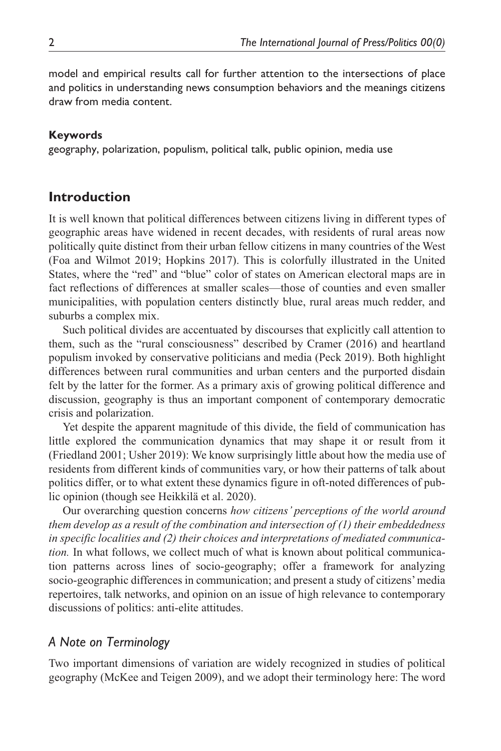model and empirical results call for further attention to the intersections of place and politics in understanding news consumption behaviors and the meanings citizens draw from media content.

### **Keywords**

geography, polarization, populism, political talk, public opinion, media use

## **Introduction**

It is well known that political differences between citizens living in different types of geographic areas have widened in recent decades, with residents of rural areas now politically quite distinct from their urban fellow citizens in many countries of the West (Foa and Wilmot 2019; Hopkins 2017). This is colorfully illustrated in the United States, where the "red" and "blue" color of states on American electoral maps are in fact reflections of differences at smaller scales—those of counties and even smaller municipalities, with population centers distinctly blue, rural areas much redder, and suburbs a complex mix.

Such political divides are accentuated by discourses that explicitly call attention to them, such as the "rural consciousness" described by Cramer (2016) and heartland populism invoked by conservative politicians and media (Peck 2019). Both highlight differences between rural communities and urban centers and the purported disdain felt by the latter for the former. As a primary axis of growing political difference and discussion, geography is thus an important component of contemporary democratic crisis and polarization.

Yet despite the apparent magnitude of this divide, the field of communication has little explored the communication dynamics that may shape it or result from it (Friedland 2001; Usher 2019): We know surprisingly little about how the media use of residents from different kinds of communities vary, or how their patterns of talk about politics differ, or to what extent these dynamics figure in oft-noted differences of public opinion (though see Heikkilä et al. 2020).

Our overarching question concerns *how citizens' perceptions of the world around them develop as a result of the combination and intersection of (1) their embeddedness in specific localities and (2) their choices and interpretations of mediated communication*. In what follows, we collect much of what is known about political communication patterns across lines of socio-geography; offer a framework for analyzing socio-geographic differences in communication; and present a study of citizens' media repertoires, talk networks, and opinion on an issue of high relevance to contemporary discussions of politics: anti-elite attitudes.

## *A Note on Terminology*

Two important dimensions of variation are widely recognized in studies of political geography (McKee and Teigen 2009), and we adopt their terminology here: The word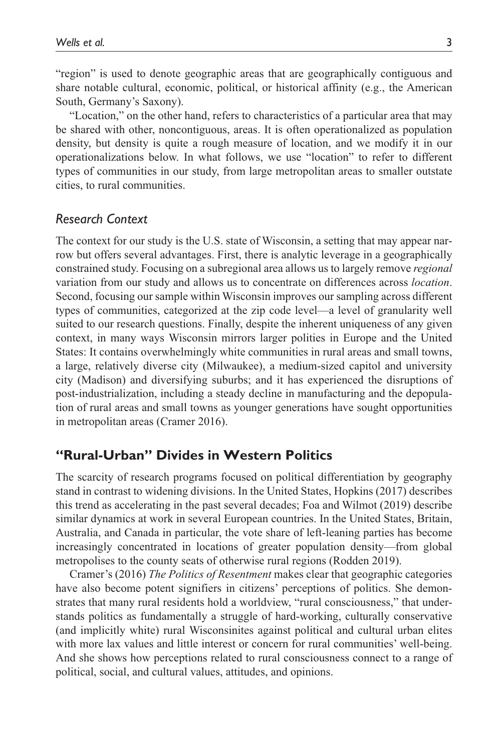"region" is used to denote geographic areas that are geographically contiguous and share notable cultural, economic, political, or historical affinity (e.g., the American South, Germany's Saxony).

"Location," on the other hand, refers to characteristics of a particular area that may be shared with other, noncontiguous, areas. It is often operationalized as population density, but density is quite a rough measure of location, and we modify it in our operationalizations below. In what follows, we use "location" to refer to different types of communities in our study, from large metropolitan areas to smaller outstate cities, to rural communities.

## *Research Context*

The context for our study is the U.S. state of Wisconsin, a setting that may appear narrow but offers several advantages. First, there is analytic leverage in a geographically constrained study. Focusing on a subregional area allows us to largely remove *regional* variation from our study and allows us to concentrate on differences across *location*. Second, focusing our sample within Wisconsin improves our sampling across different types of communities, categorized at the zip code level—a level of granularity well suited to our research questions. Finally, despite the inherent uniqueness of any given context, in many ways Wisconsin mirrors larger polities in Europe and the United States: It contains overwhelmingly white communities in rural areas and small towns, a large, relatively diverse city (Milwaukee), a medium-sized capitol and university city (Madison) and diversifying suburbs; and it has experienced the disruptions of post-industrialization, including a steady decline in manufacturing and the depopulation of rural areas and small towns as younger generations have sought opportunities in metropolitan areas (Cramer 2016).

## **"Rural-Urban" Divides in Western Politics**

The scarcity of research programs focused on political differentiation by geography stand in contrast to widening divisions. In the United States, Hopkins (2017) describes this trend as accelerating in the past several decades; Foa and Wilmot (2019) describe similar dynamics at work in several European countries. In the United States, Britain, Australia, and Canada in particular, the vote share of left-leaning parties has become increasingly concentrated in locations of greater population density—from global metropolises to the county seats of otherwise rural regions (Rodden 2019).

Cramer's (2016) *The Politics of Resentment* makes clear that geographic categories have also become potent signifiers in citizens' perceptions of politics. She demonstrates that many rural residents hold a worldview, "rural consciousness," that understands politics as fundamentally a struggle of hard-working, culturally conservative (and implicitly white) rural Wisconsinites against political and cultural urban elites with more lax values and little interest or concern for rural communities' well-being. And she shows how perceptions related to rural consciousness connect to a range of political, social, and cultural values, attitudes, and opinions.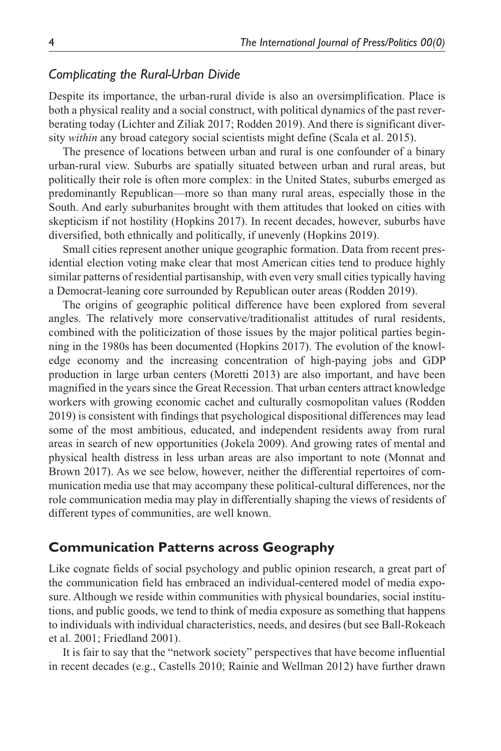### *Complicating the Rural-Urban Divide*

Despite its importance, the urban-rural divide is also an oversimplification. Place is both a physical reality and a social construct, with political dynamics of the past reverberating today (Lichter and Ziliak 2017; Rodden 2019). And there is significant diversity *within* any broad category social scientists might define (Scala et al. 2015).

The presence of locations between urban and rural is one confounder of a binary urban-rural view. Suburbs are spatially situated between urban and rural areas, but politically their role is often more complex: in the United States, suburbs emerged as predominantly Republican—more so than many rural areas, especially those in the South. And early suburbanites brought with them attitudes that looked on cities with skepticism if not hostility (Hopkins 2017). In recent decades, however, suburbs have diversified, both ethnically and politically, if unevenly (Hopkins 2019).

Small cities represent another unique geographic formation. Data from recent presidential election voting make clear that most American cities tend to produce highly similar patterns of residential partisanship, with even very small cities typically having a Democrat-leaning core surrounded by Republican outer areas (Rodden 2019).

The origins of geographic political difference have been explored from several angles. The relatively more conservative/traditionalist attitudes of rural residents, combined with the politicization of those issues by the major political parties beginning in the 1980s has been documented (Hopkins 2017). The evolution of the knowledge economy and the increasing concentration of high-paying jobs and GDP production in large urban centers (Moretti 2013) are also important, and have been magnified in the years since the Great Recession. That urban centers attract knowledge workers with growing economic cachet and culturally cosmopolitan values (Rodden 2019) is consistent with findings that psychological dispositional differences may lead some of the most ambitious, educated, and independent residents away from rural areas in search of new opportunities (Jokela 2009). And growing rates of mental and physical health distress in less urban areas are also important to note (Monnat and Brown 2017). As we see below, however, neither the differential repertoires of communication media use that may accompany these political-cultural differences, nor the role communication media may play in differentially shaping the views of residents of different types of communities, are well known.

## **Communication Patterns across Geography**

Like cognate fields of social psychology and public opinion research, a great part of the communication field has embraced an individual-centered model of media exposure. Although we reside within communities with physical boundaries, social institutions, and public goods, we tend to think of media exposure as something that happens to individuals with individual characteristics, needs, and desires (but see Ball-Rokeach et al. 2001; Friedland 2001).

It is fair to say that the "network society" perspectives that have become influential in recent decades (e.g., Castells 2010; Rainie and Wellman 2012) have further drawn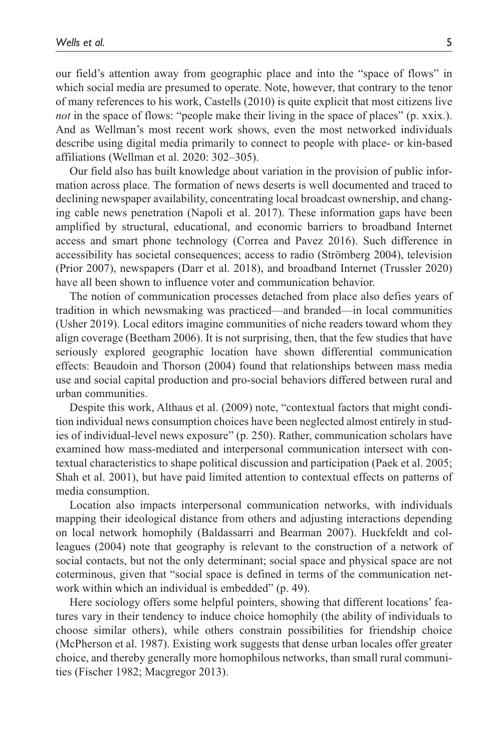our field's attention away from geographic place and into the "space of flows" in which social media are presumed to operate. Note, however, that contrary to the tenor of many references to his work, Castells (2010) is quite explicit that most citizens live *not* in the space of flows: "people make their living in the space of places" (p. xxix.). And as Wellman's most recent work shows, even the most networked individuals describe using digital media primarily to connect to people with place- or kin-based affiliations (Wellman et al. 2020: 302–305).

Our field also has built knowledge about variation in the provision of public information across place. The formation of news deserts is well documented and traced to declining newspaper availability, concentrating local broadcast ownership, and changing cable news penetration (Napoli et al. 2017). These information gaps have been amplified by structural, educational, and economic barriers to broadband Internet access and smart phone technology (Correa and Pavez 2016). Such difference in accessibility has societal consequences; access to radio (Strömberg 2004), television (Prior 2007), newspapers (Darr et al. 2018), and broadband Internet (Trussler 2020) have all been shown to influence voter and communication behavior.

The notion of communication processes detached from place also defies years of tradition in which newsmaking was practiced—and branded—in local communities (Usher 2019). Local editors imagine communities of niche readers toward whom they align coverage (Beetham 2006). It is not surprising, then, that the few studies that have seriously explored geographic location have shown differential communication effects: Beaudoin and Thorson (2004) found that relationships between mass media use and social capital production and pro-social behaviors differed between rural and urban communities.

Despite this work, Althaus et al. (2009) note, "contextual factors that might condition individual news consumption choices have been neglected almost entirely in studies of individual-level news exposure" (p. 250). Rather, communication scholars have examined how mass-mediated and interpersonal communication intersect with contextual characteristics to shape political discussion and participation (Paek et al. 2005; Shah et al. 2001), but have paid limited attention to contextual effects on patterns of media consumption.

Location also impacts interpersonal communication networks, with individuals mapping their ideological distance from others and adjusting interactions depending on local network homophily (Baldassarri and Bearman 2007). Huckfeldt and colleagues (2004) note that geography is relevant to the construction of a network of social contacts, but not the only determinant; social space and physical space are not coterminous, given that "social space is defined in terms of the communication network within which an individual is embedded" (p. 49).

Here sociology offers some helpful pointers, showing that different locations' features vary in their tendency to induce choice homophily (the ability of individuals to choose similar others), while others constrain possibilities for friendship choice (McPherson et al. 1987). Existing work suggests that dense urban locales offer greater choice, and thereby generally more homophilous networks, than small rural communities (Fischer 1982; Macgregor 2013).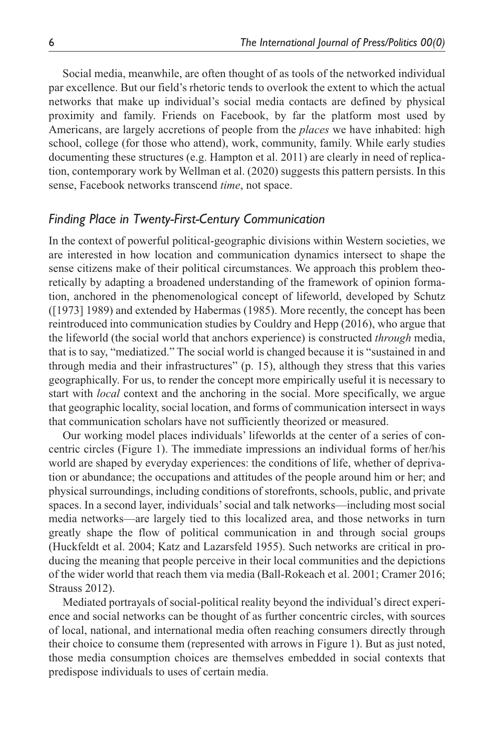Social media, meanwhile, are often thought of as tools of the networked individual par excellence. But our field's rhetoric tends to overlook the extent to which the actual networks that make up individual's social media contacts are defined by physical proximity and family. Friends on Facebook, by far the platform most used by Americans, are largely accretions of people from the *places* we have inhabited: high school, college (for those who attend), work, community, family. While early studies documenting these structures (e.g. Hampton et al. 2011) are clearly in need of replication, contemporary work by Wellman et al. (2020) suggests this pattern persists. In this sense, Facebook networks transcend *time*, not space.

## *Finding Place in Twenty-First-Century Communication*

In the context of powerful political-geographic divisions within Western societies, we are interested in how location and communication dynamics intersect to shape the sense citizens make of their political circumstances. We approach this problem theoretically by adapting a broadened understanding of the framework of opinion formation, anchored in the phenomenological concept of lifeworld, developed by Schutz ([1973] 1989) and extended by Habermas (1985). More recently, the concept has been reintroduced into communication studies by Couldry and Hepp (2016), who argue that the lifeworld (the social world that anchors experience) is constructed *through* media, that is to say, "mediatized." The social world is changed because it is "sustained in and through media and their infrastructures" (p. 15), although they stress that this varies geographically. For us, to render the concept more empirically useful it is necessary to start with *local* context and the anchoring in the social. More specifically, we argue that geographic locality, social location, and forms of communication intersect in ways that communication scholars have not sufficiently theorized or measured.

Our working model places individuals' lifeworlds at the center of a series of concentric circles (Figure 1). The immediate impressions an individual forms of her/his world are shaped by everyday experiences: the conditions of life, whether of deprivation or abundance; the occupations and attitudes of the people around him or her; and physical surroundings, including conditions of storefronts, schools, public, and private spaces. In a second layer, individuals' social and talk networks—including most social media networks—are largely tied to this localized area, and those networks in turn greatly shape the flow of political communication in and through social groups (Huckfeldt et al. 2004; Katz and Lazarsfeld 1955). Such networks are critical in producing the meaning that people perceive in their local communities and the depictions of the wider world that reach them via media (Ball-Rokeach et al. 2001; Cramer 2016; Strauss 2012).

Mediated portrayals of social-political reality beyond the individual's direct experience and social networks can be thought of as further concentric circles, with sources of local, national, and international media often reaching consumers directly through their choice to consume them (represented with arrows in Figure 1). But as just noted, those media consumption choices are themselves embedded in social contexts that predispose individuals to uses of certain media.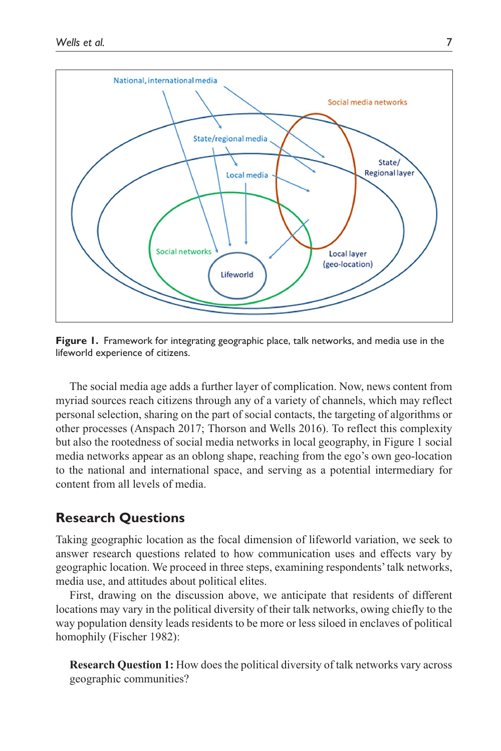

**Figure 1.** Framework for integrating geographic place, talk networks, and media use in the lifeworld experience of citizens.

The social media age adds a further layer of complication. Now, news content from myriad sources reach citizens through any of a variety of channels, which may reflect personal selection, sharing on the part of social contacts, the targeting of algorithms or other processes (Anspach 2017; Thorson and Wells 2016). To reflect this complexity but also the rootedness of social media networks in local geography, in Figure 1 social media networks appear as an oblong shape, reaching from the ego's own geo-location to the national and international space, and serving as a potential intermediary for content from all levels of media.

## **Research Questions**

Taking geographic location as the focal dimension of lifeworld variation, we seek to answer research questions related to how communication uses and effects vary by geographic location. We proceed in three steps, examining respondents' talk networks, media use, and attitudes about political elites.

First, drawing on the discussion above, we anticipate that residents of different locations may vary in the political diversity of their talk networks, owing chiefly to the way population density leads residents to be more or less siloed in enclaves of political homophily (Fischer 1982):

**Research Question 1:** How does the political diversity of talk networks vary across geographic communities?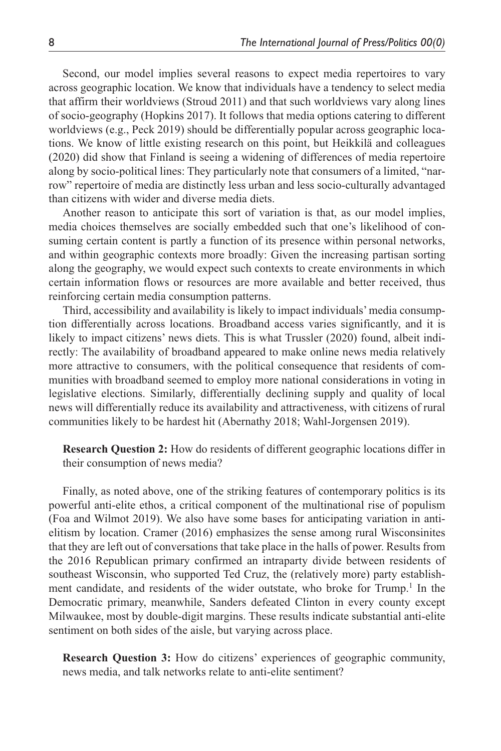Second, our model implies several reasons to expect media repertoires to vary across geographic location. We know that individuals have a tendency to select media that affirm their worldviews (Stroud 2011) and that such worldviews vary along lines of socio-geography (Hopkins 2017). It follows that media options catering to different worldviews (e.g., Peck 2019) should be differentially popular across geographic locations. We know of little existing research on this point, but Heikkilä and colleagues (2020) did show that Finland is seeing a widening of differences of media repertoire along by socio-political lines: They particularly note that consumers of a limited, "narrow" repertoire of media are distinctly less urban and less socio-culturally advantaged than citizens with wider and diverse media diets.

Another reason to anticipate this sort of variation is that, as our model implies, media choices themselves are socially embedded such that one's likelihood of consuming certain content is partly a function of its presence within personal networks, and within geographic contexts more broadly: Given the increasing partisan sorting along the geography, we would expect such contexts to create environments in which certain information flows or resources are more available and better received, thus reinforcing certain media consumption patterns.

Third, accessibility and availability is likely to impact individuals' media consumption differentially across locations. Broadband access varies significantly, and it is likely to impact citizens' news diets. This is what Trussler (2020) found, albeit indirectly: The availability of broadband appeared to make online news media relatively more attractive to consumers, with the political consequence that residents of communities with broadband seemed to employ more national considerations in voting in legislative elections. Similarly, differentially declining supply and quality of local news will differentially reduce its availability and attractiveness, with citizens of rural communities likely to be hardest hit (Abernathy 2018; Wahl-Jorgensen 2019).

**Research Question 2:** How do residents of different geographic locations differ in their consumption of news media?

Finally, as noted above, one of the striking features of contemporary politics is its powerful anti-elite ethos, a critical component of the multinational rise of populism (Foa and Wilmot 2019). We also have some bases for anticipating variation in antielitism by location. Cramer (2016) emphasizes the sense among rural Wisconsinites that they are left out of conversations that take place in the halls of power. Results from the 2016 Republican primary confirmed an intraparty divide between residents of southeast Wisconsin, who supported Ted Cruz, the (relatively more) party establishment candidate, and residents of the wider outstate, who broke for Trump.<sup>1</sup> In the Democratic primary, meanwhile, Sanders defeated Clinton in every county except Milwaukee, most by double-digit margins. These results indicate substantial anti-elite sentiment on both sides of the aisle, but varying across place.

**Research Question 3:** How do citizens' experiences of geographic community, news media, and talk networks relate to anti-elite sentiment?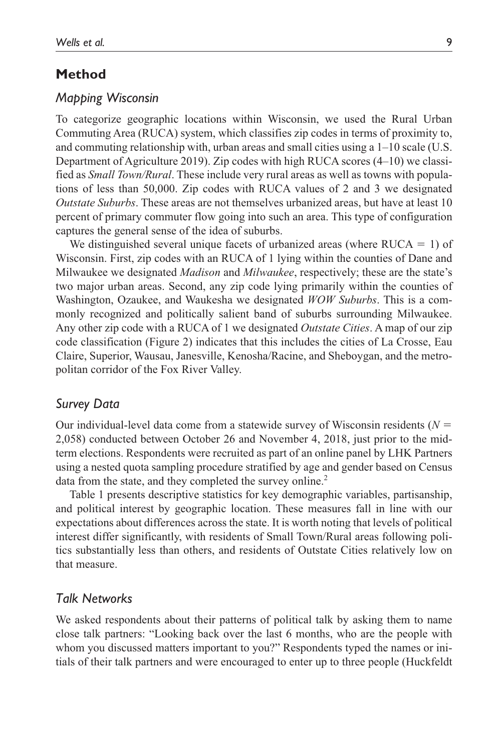### **Method**

### *Mapping Wisconsin*

To categorize geographic locations within Wisconsin, we used the Rural Urban Commuting Area (RUCA) system, which classifies zip codes in terms of proximity to, and commuting relationship with, urban areas and small cities using a 1–10 scale (U.S. Department of Agriculture 2019). Zip codes with high RUCA scores (4–10) we classified as *Small Town/Rural*. These include very rural areas as well as towns with populations of less than 50,000. Zip codes with RUCA values of 2 and 3 we designated *Outstate Suburbs*. These areas are not themselves urbanized areas, but have at least 10 percent of primary commuter flow going into such an area. This type of configuration captures the general sense of the idea of suburbs.

We distinguished several unique facets of urbanized areas (where  $RUCA = 1$ ) of Wisconsin. First, zip codes with an RUCA of 1 lying within the counties of Dane and Milwaukee we designated *Madison* and *Milwaukee*, respectively; these are the state's two major urban areas. Second, any zip code lying primarily within the counties of Washington, Ozaukee, and Waukesha we designated *WOW Suburbs*. This is a commonly recognized and politically salient band of suburbs surrounding Milwaukee. Any other zip code with a RUCA of 1 we designated *Outstate Cities*. A map of our zip code classification (Figure 2) indicates that this includes the cities of La Crosse, Eau Claire, Superior, Wausau, Janesville, Kenosha/Racine, and Sheboygan, and the metropolitan corridor of the Fox River Valley.

### *Survey Data*

Our individual-level data come from a statewide survey of Wisconsin residents (*N* = 2,058) conducted between October 26 and November 4, 2018, just prior to the midterm elections. Respondents were recruited as part of an online panel by LHK Partners using a nested quota sampling procedure stratified by age and gender based on Census data from the state, and they completed the survey online.<sup>2</sup>

Table 1 presents descriptive statistics for key demographic variables, partisanship, and political interest by geographic location. These measures fall in line with our expectations about differences across the state. It is worth noting that levels of political interest differ significantly, with residents of Small Town/Rural areas following politics substantially less than others, and residents of Outstate Cities relatively low on that measure.

### *Talk Networks*

We asked respondents about their patterns of political talk by asking them to name close talk partners: "Looking back over the last 6 months, who are the people with whom you discussed matters important to you?" Respondents typed the names or initials of their talk partners and were encouraged to enter up to three people (Huckfeldt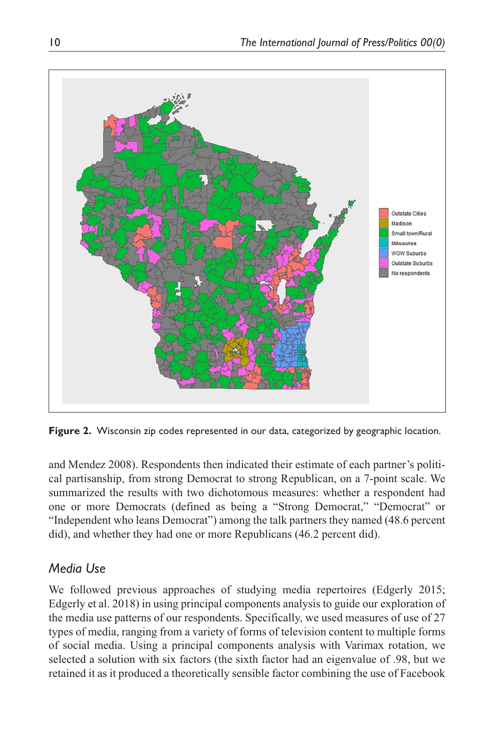

**Figure 2.** Wisconsin zip codes represented in our data, categorized by geographic location.

and Mendez 2008). Respondents then indicated their estimate of each partner's political partisanship, from strong Democrat to strong Republican, on a 7-point scale. We summarized the results with two dichotomous measures: whether a respondent had one or more Democrats (defined as being a "Strong Democrat," "Democrat" or "Independent who leans Democrat") among the talk partners they named (48.6 percent did), and whether they had one or more Republicans (46.2 percent did).

# *Media Use*

We followed previous approaches of studying media repertoires (Edgerly 2015; Edgerly et al. 2018) in using principal components analysis to guide our exploration of the media use patterns of our respondents. Specifically, we used measures of use of 27 types of media, ranging from a variety of forms of television content to multiple forms of social media. Using a principal components analysis with Varimax rotation, we selected a solution with six factors (the sixth factor had an eigenvalue of .98, but we retained it as it produced a theoretically sensible factor combining the use of Facebook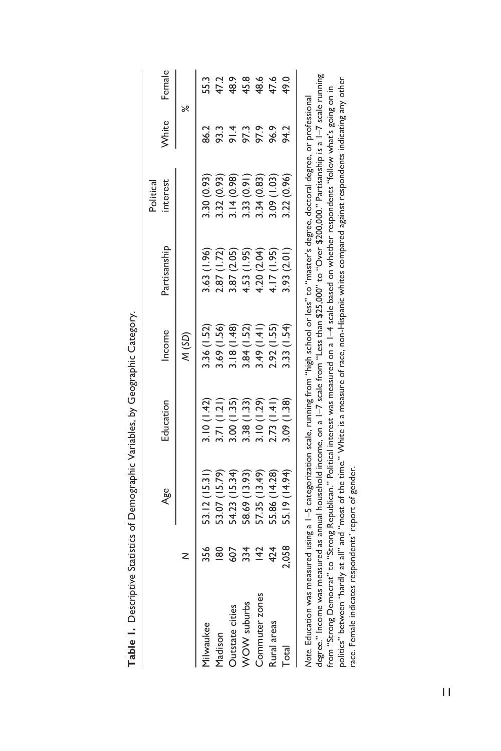|                                                                                                                                                                                                                                                                                                                                                                                                                                                                                                                                                                                                                                               |       | Age           | Education  | Income      | Partisanship | interest<br>Political | White | Female |
|-----------------------------------------------------------------------------------------------------------------------------------------------------------------------------------------------------------------------------------------------------------------------------------------------------------------------------------------------------------------------------------------------------------------------------------------------------------------------------------------------------------------------------------------------------------------------------------------------------------------------------------------------|-------|---------------|------------|-------------|--------------|-----------------------|-------|--------|
|                                                                                                                                                                                                                                                                                                                                                                                                                                                                                                                                                                                                                                               |       |               |            | (SD)        |              |                       | ৽ৼ    |        |
| Milwaukee                                                                                                                                                                                                                                                                                                                                                                                                                                                                                                                                                                                                                                     | 356   | 53.12 (15.31) | 3.10(1.42) | 3.36 (1.52) | 3.63 (1.96)  | 3.30 (0.93)           | 86.2  | 55.3   |
| Madison                                                                                                                                                                                                                                                                                                                                                                                                                                                                                                                                                                                                                                       | 80    | 53.07 (15.79) | 3.71(1.21) | 3.69 (1.56) | 2.87 (1.72)  | 3.32 (0.93)           | 93.3  | 47.2   |
| Outstate cities                                                                                                                                                                                                                                                                                                                                                                                                                                                                                                                                                                                                                               | 502   | 54.23 (15.34) | 3.00(1.35) | 3.18(1.48)  | 3.87 (2.05)  | 3.14(0.98)            | 91.4  | 48.9   |
| WOW suburbs                                                                                                                                                                                                                                                                                                                                                                                                                                                                                                                                                                                                                                   | 334   | 58.69 (13.93) | 3.38(1.33) | 3.84 (1.52) | 4.53 (1.95)  | 3.33(0.91)            | 97.3  | 45.8   |
| Commuter zones                                                                                                                                                                                                                                                                                                                                                                                                                                                                                                                                                                                                                                | 42    | 57.35 (13.49) | 3.10(1.29) | 3.49(1.41)  | 4.20 (2.04)  | 3.34 (0.83)           | 97.9  | 48.6   |
| Rural areas                                                                                                                                                                                                                                                                                                                                                                                                                                                                                                                                                                                                                                   | 424   | 55.86 (14.28) | 2.73(1.41) | 2.92(1.55)  | 4.17(1.95)   | 3.09 (1.03)           | 96.9  | 47.6   |
| Total                                                                                                                                                                                                                                                                                                                                                                                                                                                                                                                                                                                                                                         | 2,058 | 55.19 (14.94) | 3.09(1.38) | 3.33(1.54)  | 3.93 (2.01)  | 3.22 (0.96)           | 94.2  | 49.0   |
| degree." Income was measured as annual household income, on a I–7 scale from "Less than \$25,000" to "Over \$200,000." Partisanship is a I–7 scale running<br>politics" between "hardly at all" and "most of the time." White is a measure of race, non-Hispanic whites compared against respondents indicating any other<br>from "Strong Democrat" to "Strong Republican." Political interest was measured on a 1–4 scale based on whether respondents "follow what's going on in<br>Note. Education was measured using a 1–5 categorization scale, running from "high school or less" to "master's degree, doctoral degree, or professional |       |               |            |             |              |                       |       |        |

Table 1. Descriptive Statistics of Demographic Variables, by Geographic Category. **Table 1.** Descriptive Statistics of Demographic Variables, by Geographic Category.

race. Female indicates respondents' report of gender.

race. Female indicates respondents' report of gender.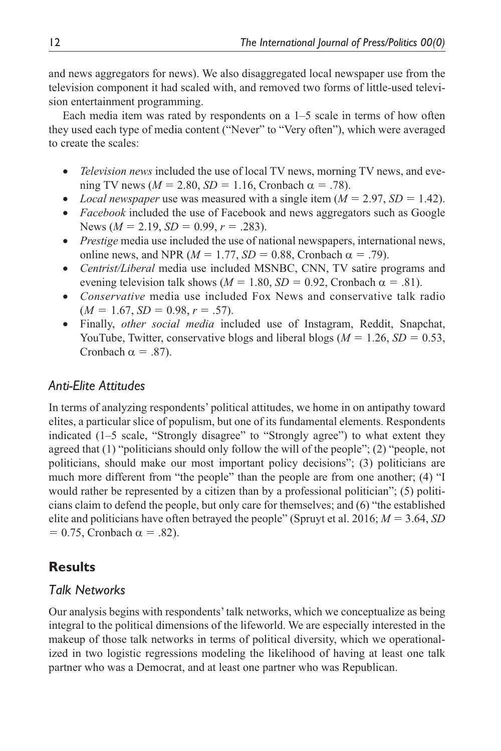and news aggregators for news). We also disaggregated local newspaper use from the television component it had scaled with, and removed two forms of little-used television entertainment programming.

Each media item was rated by respondents on a 1–5 scale in terms of how often they used each type of media content ("Never" to "Very often"), which were averaged to create the scales:

- *Television news* included the use of local TV news, morning TV news, and evening TV news ( $M = 2.80$ ,  $SD = 1.16$ , Cronbach  $\alpha = .78$ ).
- *Local newspaper* use was measured with a single item  $(M = 2.97, SD = 1.42)$ .
- *Facebook* included the use of Facebook and news aggregators such as Google News ( $M = 2.19$ ,  $SD = 0.99$ ,  $r = .283$ ).
- *Prestige* media use included the use of national newspapers, international news, online news, and NPR ( $M = 1.77$ ,  $SD = 0.88$ , Cronbach  $\alpha = .79$ ).
- *Centrist/Liberal* media use included MSNBC, CNN, TV satire programs and evening television talk shows ( $M = 1.80$ ,  $SD = 0.92$ , Cronbach  $\alpha = .81$ ).
- *Conservative* media use included Fox News and conservative talk radio  $(M = 1.67, SD = 0.98, r = .57).$
- Finally, *other social media* included use of Instagram, Reddit, Snapchat, YouTube, Twitter, conservative blogs and liberal blogs  $(M = 1.26, SD = 0.53,$ Cronbach  $\alpha = .87$ ).

# *Anti-Elite Attitudes*

In terms of analyzing respondents' political attitudes, we home in on antipathy toward elites, a particular slice of populism, but one of its fundamental elements. Respondents indicated (1–5 scale, "Strongly disagree" to "Strongly agree") to what extent they agreed that (1) "politicians should only follow the will of the people"; (2) "people, not politicians, should make our most important policy decisions"; (3) politicians are much more different from "the people" than the people are from one another; (4) "I would rather be represented by a citizen than by a professional politician"; (5) politicians claim to defend the people, but only care for themselves; and (6) "the established elite and politicians have often betrayed the people" (Spruyt et al. 2016; *M* = 3.64, *SD*  $= 0.75$ , Cronbach  $\alpha = .82$ ).

# **Results**

# *Talk Networks*

Our analysis begins with respondents' talk networks, which we conceptualize as being integral to the political dimensions of the lifeworld. We are especially interested in the makeup of those talk networks in terms of political diversity, which we operationalized in two logistic regressions modeling the likelihood of having at least one talk partner who was a Democrat, and at least one partner who was Republican.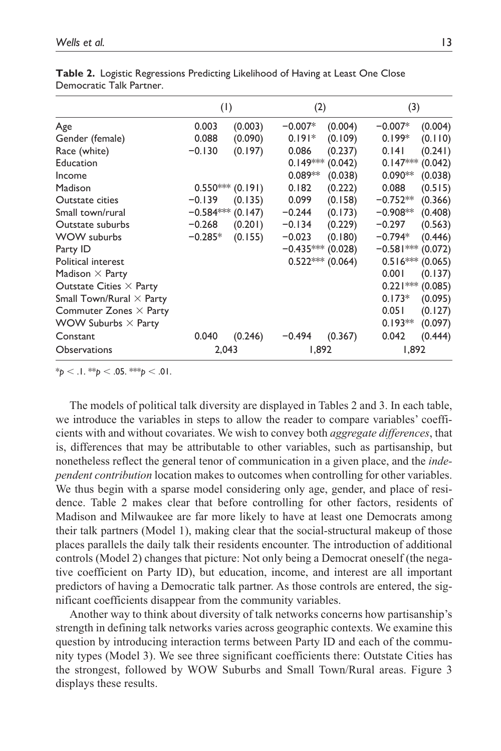|                                 |             | (1)                | (2)                 |                   | (3)                 |         |
|---------------------------------|-------------|--------------------|---------------------|-------------------|---------------------|---------|
| Age                             | 0.003       | (0.003)            | $-0.007*$           | (0.004)           | $-0.007*$           | (0.004) |
| Gender (female)                 | 0.088       | (0.090)            | $0.191*$            | (0.109)           | $0.199*$            | (0.110) |
| Race (white)                    | $-0.130$    | (0.197)            | 0.086               | (0.237)           | 0.141               | (0.241) |
| Education                       |             |                    | $0.149***$          | (0.042)           | $0.147***$          | (0.042) |
| Income                          |             |                    | $0.089**$           | (0.038)           | $0.090**$           | (0.038) |
| Madison                         |             | $0.550***$ (0.191) | 0.182               | (0.222)           | 0.088               | (0.515) |
| Outstate cities                 | $-0.139$    | (0.135)            | 0.099               | (0.158)           | $-0.752**$          | (0.366) |
| Small town/rural                | $-0.584***$ | (0.147)            | $-0.244$            | (0.173)           | $-0.908**$          | (0.408) |
| Outstate suburbs                | $-0.268$    | (0.201)            | $-0.134$            | (0.229)           | $-0.297$            | (0.563) |
| WOW suburbs                     | $-0.285*$   | (0.155)            | $-0.023$            | (0.180)           | $-0.794*$           | (0.446) |
| Party ID                        |             |                    | $-0.435***$ (0.028) |                   | $-0.581***$ (0.072) |         |
| <b>Political interest</b>       |             |                    |                     | $0.522***(0.064)$ | $0.516***$          | (0.065) |
| Madison $\times$ Party          |             |                    |                     |                   | 0.001               | (0.137) |
| Outstate Cities $\times$ Party  |             |                    |                     |                   | $0.221***$ (0.085)  |         |
| Small Town/Rural $\times$ Party |             |                    |                     |                   | $0.173*$            | (0.095) |
| Commuter Zones $\times$ Party   |             |                    |                     |                   | 0.051               | (0.127) |
| WOW Suburbs $\times$ Party      |             |                    |                     |                   | $0.193**$           | (0.097) |
| Constant                        | 0.040       | (0.246)            | $-0.494$            | (0.367)           | 0.042               | (0.444) |
| <b>Observations</b>             |             | 2,043              |                     | 1,892             | 1,892               |         |

**Table 2.** Logistic Regressions Predicting Likelihood of Having at Least One Close Democratic Talk Partner.

 $*_{p}$  < .1.  $*_{p}$  < .05.  $*_{p}$  < .01.

The models of political talk diversity are displayed in Tables 2 and 3. In each table, we introduce the variables in steps to allow the reader to compare variables' coefficients with and without covariates. We wish to convey both *aggregate differences*, that is, differences that may be attributable to other variables, such as partisanship, but nonetheless reflect the general tenor of communication in a given place, and the *independent contribution* location makes to outcomes when controlling for other variables. We thus begin with a sparse model considering only age, gender, and place of residence. Table 2 makes clear that before controlling for other factors, residents of Madison and Milwaukee are far more likely to have at least one Democrats among their talk partners (Model 1), making clear that the social-structural makeup of those places parallels the daily talk their residents encounter. The introduction of additional controls (Model 2) changes that picture: Not only being a Democrat oneself (the negative coefficient on Party ID), but education, income, and interest are all important predictors of having a Democratic talk partner. As those controls are entered, the significant coefficients disappear from the community variables.

Another way to think about diversity of talk networks concerns how partisanship's strength in defining talk networks varies across geographic contexts. We examine this question by introducing interaction terms between Party ID and each of the community types (Model 3). We see three significant coefficients there: Outstate Cities has the strongest, followed by WOW Suburbs and Small Town/Rural areas. Figure 3 displays these results.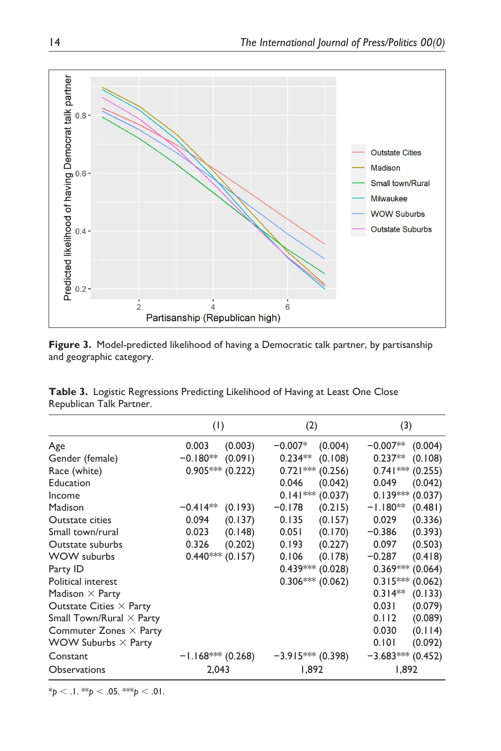

**Figure 3.** Model-predicted likelihood of having a Democratic talk partner, by partisanship and geographic category.

| <b>Table 3.</b> Logistic Regressions Predicting Likelihood of Having at Least One Close |  |  |  |
|-----------------------------------------------------------------------------------------|--|--|--|
| Republican Talk Partner.                                                                |  |  |  |

|                                 | (1)                   | (2)                   | (3)                   |
|---------------------------------|-----------------------|-----------------------|-----------------------|
| Age                             | 0.003<br>(0.003)      | (0.004)<br>$-0.007*$  | $-0.007**$<br>(0.004) |
| Gender (female)                 | (0.091)<br>$-0.180**$ | $0.234**$<br>(0.108)  | $0.237**$<br>(0.108)  |
| Race (white)                    | $0.905***(0.222)$     | $0.721***$<br>(0.256) | $0.741***$<br>(0.255) |
| Education                       |                       | 0.046<br>(0.042)      | (0.042)<br>0.049      |
| Income                          |                       | $0.141***$<br>(0.037) | $0.139*** (0.037)$    |
| Madison                         | $-0.414**$<br>(0.193) | $-0.178$<br>(0.215)   | $-1.180**$<br>(0.481) |
| <b>Outstate cities</b>          | 0.094<br>(0.137)      | 0.135<br>(0.157)      | 0.029<br>(0.336)      |
| Small town/rural                | 0.023<br>(0.148)      | 0.051<br>(0.170)      | (0.393)<br>$-0.386$   |
| Outstate suburbs                | 0.326<br>(0.202)      | 0.193<br>(0.227)      | 0.097<br>(0.503)      |
| WOW suburbs                     | (0.157)<br>$0.440***$ | 0.106<br>(0.178)      | $-0.287$<br>(0.418)   |
| Party ID                        |                       | $0.439***$ (0.028)    | $0.369*** (0.064)$    |
| Political interest              |                       | $0.306***$<br>(0.062) | $0.315***$<br>(0.062) |
| Madison $\times$ Party          |                       |                       | $0.314**$<br>(0.133)  |
| Outstate Cities $\times$ Party  |                       |                       | 0.031<br>(0.079)      |
| Small Town/Rural $\times$ Party |                       |                       | (0.089)<br>0.112      |
| Commuter Zones $\times$ Party   |                       |                       | 0.030<br>(0.114)      |
| WOW Suburbs $\times$ Party      |                       |                       | 0.101<br>(0.092)      |
| Constant                        | $-1.168*** (0.268)$   | $-3.915***$ (0.398)   | $-3.683***$ (0.452)   |
| Observations                    | 2.043                 | 892, ا                | 1.892                 |

 $*_{p}$  < .1.  $*_{p}$  < .05.  $*_{p}$  < .01.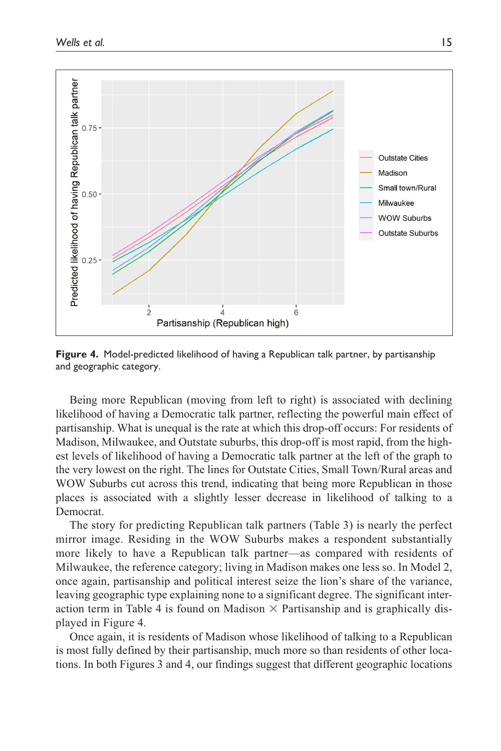

**Figure 4.** Model-predicted likelihood of having a Republican talk partner, by partisanship and geographic category.

Being more Republican (moving from left to right) is associated with declining likelihood of having a Democratic talk partner, reflecting the powerful main effect of partisanship. What is unequal is the rate at which this drop-off occurs: For residents of Madison, Milwaukee, and Outstate suburbs, this drop-off is most rapid, from the highest levels of likelihood of having a Democratic talk partner at the left of the graph to the very lowest on the right. The lines for Outstate Cities, Small Town/Rural areas and WOW Suburbs cut across this trend, indicating that being more Republican in those places is associated with a slightly lesser decrease in likelihood of talking to a Democrat.

The story for predicting Republican talk partners (Table 3) is nearly the perfect mirror image. Residing in the WOW Suburbs makes a respondent substantially more likely to have a Republican talk partner—as compared with residents of Milwaukee, the reference category; living in Madison makes one less so. In Model 2, once again, partisanship and political interest seize the lion's share of the variance, leaving geographic type explaining none to a significant degree. The significant interaction term in Table 4 is found on Madison  $\times$  Partisanship and is graphically displayed in Figure 4.

Once again, it is residents of Madison whose likelihood of talking to a Republican is most fully defined by their partisanship, much more so than residents of other locations. In both Figures 3 and 4, our findings suggest that different geographic locations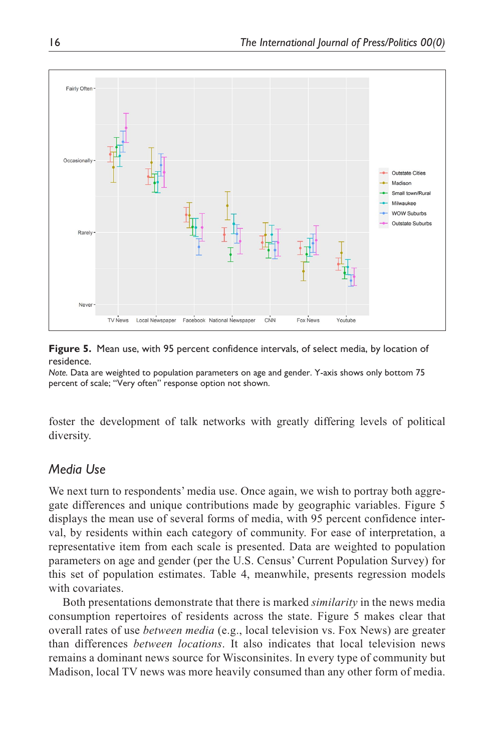

**Figure 5.** Mean use, with 95 percent confidence intervals, of select media, by location of residence.

*Note.* Data are weighted to population parameters on age and gender. Y-axis shows only bottom 75 percent of scale; "Very often" response option not shown.

foster the development of talk networks with greatly differing levels of political diversity.

## *Media Use*

We next turn to respondents' media use. Once again, we wish to portray both aggregate differences and unique contributions made by geographic variables. Figure 5 displays the mean use of several forms of media, with 95 percent confidence interval, by residents within each category of community. For ease of interpretation, a representative item from each scale is presented. Data are weighted to population parameters on age and gender (per the U.S. Census' Current Population Survey) for this set of population estimates. Table 4, meanwhile, presents regression models with covariates.

Both presentations demonstrate that there is marked *similarity* in the news media consumption repertoires of residents across the state. Figure 5 makes clear that overall rates of use *between media* (e.g., local television vs. Fox News) are greater than differences *between locations*. It also indicates that local television news remains a dominant news source for Wisconsinites. In every type of community but Madison, local TV news was more heavily consumed than any other form of media.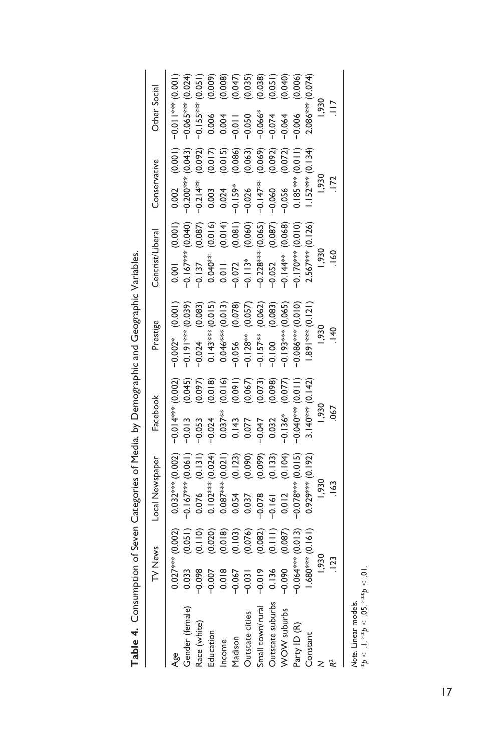|                        | TV News    |                                                                                                                                                      | Local Newspaper | Facebook                                                                                                                                                                                                            | Prestige                                                                                                                                                                                                                   | Centrist/Liberal                                                                                                                                                                                                                                   |                                                                                                                                                                                                                                                                                            | Conservative       |                                                                                                                                                                                                                                                                                                                                                                                                         | Other Social                                                                                                                                                                                                                                                                                                                                                                                |  |
|------------------------|------------|------------------------------------------------------------------------------------------------------------------------------------------------------|-----------------|---------------------------------------------------------------------------------------------------------------------------------------------------------------------------------------------------------------------|----------------------------------------------------------------------------------------------------------------------------------------------------------------------------------------------------------------------------|----------------------------------------------------------------------------------------------------------------------------------------------------------------------------------------------------------------------------------------------------|--------------------------------------------------------------------------------------------------------------------------------------------------------------------------------------------------------------------------------------------------------------------------------------------|--------------------|---------------------------------------------------------------------------------------------------------------------------------------------------------------------------------------------------------------------------------------------------------------------------------------------------------------------------------------------------------------------------------------------------------|---------------------------------------------------------------------------------------------------------------------------------------------------------------------------------------------------------------------------------------------------------------------------------------------------------------------------------------------------------------------------------------------|--|
|                        | $0.027***$ |                                                                                                                                                      |                 |                                                                                                                                                                                                                     | $-0.002$ *                                                                                                                                                                                                                 | 0.001                                                                                                                                                                                                                                              |                                                                                                                                                                                                                                                                                            |                    |                                                                                                                                                                                                                                                                                                                                                                                                         |                                                                                                                                                                                                                                                                                                                                                                                             |  |
| Age<br>Gender (female) |            |                                                                                                                                                      |                 |                                                                                                                                                                                                                     |                                                                                                                                                                                                                            | $-0.167***$                                                                                                                                                                                                                                        |                                                                                                                                                                                                                                                                                            | 0.002              |                                                                                                                                                                                                                                                                                                                                                                                                         |                                                                                                                                                                                                                                                                                                                                                                                             |  |
| Race (white)           |            | $\begin{array}{l} (0.002) \\ (0.051) \\ (0.010) \\ (0.010) \\ (0.010) \\ (0.010) \\ (0.000) \\ (0.000) \\ (0.000) \\ (0.000) \\ (0.000) \end{array}$ |                 | $-0.014*** (0.002)$<br>$-0.013$ (0.045)<br>$-0.053$ (0.087)<br>$-0.057**$ (0.016)<br>0.037 <sup>**</sup> (0.016)<br>0.037<br>0.0077<br>0.0077<br>0.0077<br>0.0077<br>0.0077<br>0.0077<br>0.0077<br>0.0077<br>0.0077 | $-0.002**$ (0.001)<br>$-0.191***$ (0.083)<br>$-0.024$ (0.083)<br>0.143 <sup>***</sup> (0.015)<br>0.044*** (0.015)<br>0.044*** (0.013)<br>0.079** (0.062)<br>$-0.128**$ (0.062)<br>$-0.197**$ (0.063)<br>$-0.197**$ (0.065) | $\begin{array}{r} -0.137 \\ -0.040^{348} \\ 0.040^{348} \\ -0.071 \\ -0.072 \\ -0.13^{346} \\ -0.032 \\ -0.052 \\ -0.144^{448} \\ -0.144^{448} \\ -0.052 \\ -0.170^{448} \\ 0.0144^{448} \\ -0.032 \\ -0.070^{448} \\ 0.0144^{448} \\ \end{array}$ | $\begin{array}{l} (0.00100\\ (0.04000\\ (0.04000\\ (0.04000\\ (0.04000\\ (0.04000\\ (0.04000\\ (0.0400\\ (0.0400\\ (0.0400\\ (0.0400\\ (0.0400\\ (0.0400\\ (0.0400\\ (0.0400\\ (0.0400\\ (0.0400\\ (0.0400\\ (0.0400\\ (0.0400\\ (0.0400\\ (0.0400\\ (0.0400\\ (0.0400\\ (0.0400\\ (0.040$ |                    | $\begin{array}{l} (1) \\ (1) \\ (2) \\ (3) \\ (4) \\ (5) \\ (6) \\ (7) \\ (8) \\ (9) \\ (1) \\ (1) \\ (1) \\ (2) \\ (3) \\ (4) \\ (5) \\ (6) \\ (7) \\ (8) \\ (9) \\ (1) \\ (1) \\ (1) \\ (2) \\ (3) \\ (4) \\ (5) \\ (6) \\ (7) \\ (9) \\ (1) \\ (1) \\ (1) \\ (2) \\ (3) \\ (4) \\ (5) \\ (6) \\ (7) \\ (9) \\ (1) \\ (1) \\ (1) \\ (2) \\ (3) \\ (3) \\ (4) \\ (5) \\ (5) \\ (6) \\ (6) \\ (7) \\ ($ | $\begin{array}{r} 1 & -0.01 \put(0.001) \put(0.001) \put(0.001) \put(0.001) \put(0.001) \put(0.001) \put(0.001) \put(0.001) \put(0.001) \put(0.001) \put(0.001) \put(0.001) \put(0.001) \put(0.001) \put(0.001) \put(0.001) \put(0.001) \put(0.001) \put(0.001) \put(0.001) \put(0.001) \put(0.001) \put(0.00$<br>- 0.155***<br>0.006<br>0.004<br>0.000 - 0.0007<br>0.0007<br>0.000 - 0.004 |  |
| Education<br>Income    |            |                                                                                                                                                      |                 |                                                                                                                                                                                                                     |                                                                                                                                                                                                                            |                                                                                                                                                                                                                                                    |                                                                                                                                                                                                                                                                                            |                    |                                                                                                                                                                                                                                                                                                                                                                                                         |                                                                                                                                                                                                                                                                                                                                                                                             |  |
|                        |            |                                                                                                                                                      |                 |                                                                                                                                                                                                                     |                                                                                                                                                                                                                            |                                                                                                                                                                                                                                                    |                                                                                                                                                                                                                                                                                            |                    |                                                                                                                                                                                                                                                                                                                                                                                                         |                                                                                                                                                                                                                                                                                                                                                                                             |  |
| Madison                |            |                                                                                                                                                      |                 |                                                                                                                                                                                                                     |                                                                                                                                                                                                                            |                                                                                                                                                                                                                                                    |                                                                                                                                                                                                                                                                                            |                    |                                                                                                                                                                                                                                                                                                                                                                                                         |                                                                                                                                                                                                                                                                                                                                                                                             |  |
| Outstate cities        |            |                                                                                                                                                      |                 |                                                                                                                                                                                                                     |                                                                                                                                                                                                                            |                                                                                                                                                                                                                                                    |                                                                                                                                                                                                                                                                                            |                    |                                                                                                                                                                                                                                                                                                                                                                                                         |                                                                                                                                                                                                                                                                                                                                                                                             |  |
| Small town/rural       |            |                                                                                                                                                      |                 |                                                                                                                                                                                                                     |                                                                                                                                                                                                                            |                                                                                                                                                                                                                                                    |                                                                                                                                                                                                                                                                                            |                    |                                                                                                                                                                                                                                                                                                                                                                                                         |                                                                                                                                                                                                                                                                                                                                                                                             |  |
| Outstate suburbs       | 0.136      |                                                                                                                                                      |                 |                                                                                                                                                                                                                     |                                                                                                                                                                                                                            |                                                                                                                                                                                                                                                    |                                                                                                                                                                                                                                                                                            |                    |                                                                                                                                                                                                                                                                                                                                                                                                         |                                                                                                                                                                                                                                                                                                                                                                                             |  |
| WOW suburbs            |            |                                                                                                                                                      |                 |                                                                                                                                                                                                                     |                                                                                                                                                                                                                            |                                                                                                                                                                                                                                                    |                                                                                                                                                                                                                                                                                            |                    |                                                                                                                                                                                                                                                                                                                                                                                                         |                                                                                                                                                                                                                                                                                                                                                                                             |  |
| Party ID (R)           |            | $-0.064***$ (0.013)<br>1.680*** (0.161)                                                                                                              |                 |                                                                                                                                                                                                                     |                                                                                                                                                                                                                            |                                                                                                                                                                                                                                                    |                                                                                                                                                                                                                                                                                            | $0.185***$         |                                                                                                                                                                                                                                                                                                                                                                                                         |                                                                                                                                                                                                                                                                                                                                                                                             |  |
| Constant               |            |                                                                                                                                                      |                 |                                                                                                                                                                                                                     | $1.891***$ (0.121)                                                                                                                                                                                                         | $2.567*** (0.126)$                                                                                                                                                                                                                                 |                                                                                                                                                                                                                                                                                            | $1.152*** (0.134)$ |                                                                                                                                                                                                                                                                                                                                                                                                         | $2.086***$ (0.074)                                                                                                                                                                                                                                                                                                                                                                          |  |
|                        | 1,930      |                                                                                                                                                      | 1,930           |                                                                                                                                                                                                                     | 1,930                                                                                                                                                                                                                      |                                                                                                                                                                                                                                                    |                                                                                                                                                                                                                                                                                            | 930                |                                                                                                                                                                                                                                                                                                                                                                                                         |                                                                                                                                                                                                                                                                                                                                                                                             |  |
|                        |            |                                                                                                                                                      |                 |                                                                                                                                                                                                                     |                                                                                                                                                                                                                            | $\frac{60}{2}$                                                                                                                                                                                                                                     |                                                                                                                                                                                                                                                                                            |                    |                                                                                                                                                                                                                                                                                                                                                                                                         |                                                                                                                                                                                                                                                                                                                                                                                             |  |
|                        |            |                                                                                                                                                      |                 |                                                                                                                                                                                                                     |                                                                                                                                                                                                                            |                                                                                                                                                                                                                                                    |                                                                                                                                                                                                                                                                                            |                    |                                                                                                                                                                                                                                                                                                                                                                                                         |                                                                                                                                                                                                                                                                                                                                                                                             |  |

Table 4. Consumption of Seven Categories of Media, by Demographic and Geographic Variables. **Table 4.** Consumption of Seven Categories of Media, by Demographic and Geographic Variables.

*Note.* Linear models.

Note. Linear models.<br>\* $p < 1$ . \*\* $p < 0$ 5. \*\*\* $p < 0$ l. \**p* < .1. \*\**p* < .05. \*\*\**p* < .01.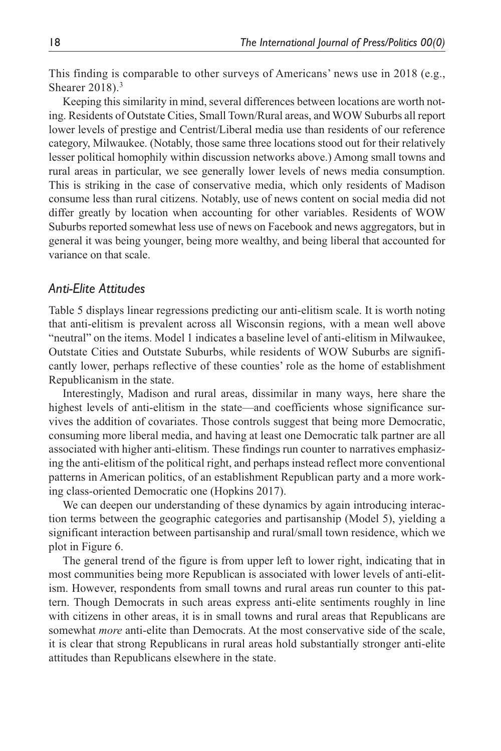This finding is comparable to other surveys of Americans' news use in 2018 (e.g., Shearer 2018).<sup>3</sup>

Keeping this similarity in mind, several differences between locations are worth noting. Residents of Outstate Cities, Small Town/Rural areas, and WOW Suburbs all report lower levels of prestige and Centrist/Liberal media use than residents of our reference category, Milwaukee. (Notably, those same three locations stood out for their relatively lesser political homophily within discussion networks above.) Among small towns and rural areas in particular, we see generally lower levels of news media consumption. This is striking in the case of conservative media, which only residents of Madison consume less than rural citizens. Notably, use of news content on social media did not differ greatly by location when accounting for other variables. Residents of WOW Suburbs reported somewhat less use of news on Facebook and news aggregators, but in general it was being younger, being more wealthy, and being liberal that accounted for variance on that scale.

### *Anti-Elite Attitudes*

Table 5 displays linear regressions predicting our anti-elitism scale. It is worth noting that anti-elitism is prevalent across all Wisconsin regions, with a mean well above "neutral" on the items. Model 1 indicates a baseline level of anti-elitism in Milwaukee, Outstate Cities and Outstate Suburbs, while residents of WOW Suburbs are significantly lower, perhaps reflective of these counties' role as the home of establishment Republicanism in the state.

Interestingly, Madison and rural areas, dissimilar in many ways, here share the highest levels of anti-elitism in the state—and coefficients whose significance survives the addition of covariates. Those controls suggest that being more Democratic, consuming more liberal media, and having at least one Democratic talk partner are all associated with higher anti-elitism. These findings run counter to narratives emphasizing the anti-elitism of the political right, and perhaps instead reflect more conventional patterns in American politics, of an establishment Republican party and a more working class-oriented Democratic one (Hopkins 2017).

We can deepen our understanding of these dynamics by again introducing interaction terms between the geographic categories and partisanship (Model 5), yielding a significant interaction between partisanship and rural/small town residence, which we plot in Figure 6.

The general trend of the figure is from upper left to lower right, indicating that in most communities being more Republican is associated with lower levels of anti-elitism. However, respondents from small towns and rural areas run counter to this pattern. Though Democrats in such areas express anti-elite sentiments roughly in line with citizens in other areas, it is in small towns and rural areas that Republicans are somewhat *more* anti-elite than Democrats. At the most conservative side of the scale, it is clear that strong Republicans in rural areas hold substantially stronger anti-elite attitudes than Republicans elsewhere in the state.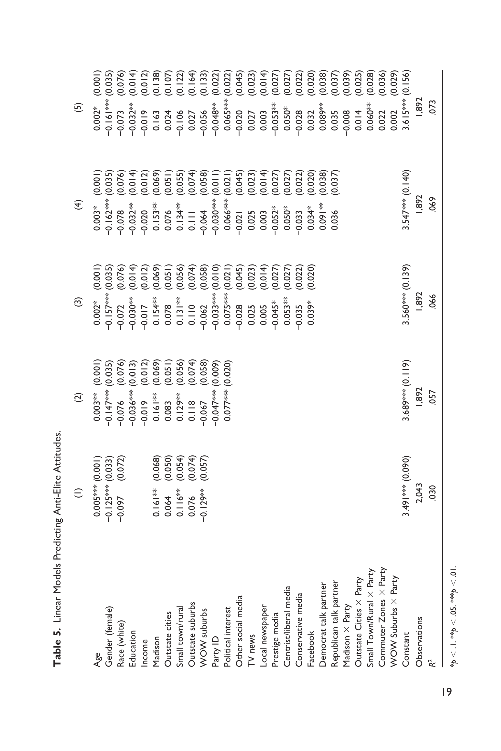| I.            |
|---------------|
| ı             |
| $\tilde{\xi}$ |
|               |
| i             |

|                            | $\widehat{=}$                                | $\odot$                                                                                                                                   | $\widehat{\mathbf{c}}$                                                                                                                                                                                                                                                                                | $\widehat{\mathbf{f}}$                                                                                | $\odot$                                                                                                                                                           |                  |
|----------------------------|----------------------------------------------|-------------------------------------------------------------------------------------------------------------------------------------------|-------------------------------------------------------------------------------------------------------------------------------------------------------------------------------------------------------------------------------------------------------------------------------------------------------|-------------------------------------------------------------------------------------------------------|-------------------------------------------------------------------------------------------------------------------------------------------------------------------|------------------|
| Age                        | $0.005***(0.001)$                            | (0.001)<br>$0.003**$                                                                                                                      | (0.001)<br>$0.002*$                                                                                                                                                                                                                                                                                   | (0.001)<br>$0.003*$                                                                                   | (0.001)<br>$0.002*$                                                                                                                                               |                  |
| Gender (female)            |                                              |                                                                                                                                           | $0.157***$                                                                                                                                                                                                                                                                                            | (0.035)<br>$0.162***$                                                                                 | (0.035)<br>$0.161***$                                                                                                                                             |                  |
| Race (white)               | $-0.125*** (0.033)$<br>$-0.097$ (0.072)      | $-0.147*** (0.035)$<br>$-0.076$ (0.076)<br>$-0.036*** (0.013)$<br>$-0.019$ (0.012)<br>0.161** (0.069)<br>0.083 (0.051)<br>0.129** (0.056) | $(0.035)$<br>$(0.076)$<br>$(0.014)$<br>$(0.012)$<br>$(0.069)$<br>$(0.056)$<br>$-0.072$                                                                                                                                                                                                                | (0.076)<br>$-0.078$                                                                                   | $-0.073$                                                                                                                                                          | 0.076)           |
| Education                  |                                              |                                                                                                                                           | $-0.030**$                                                                                                                                                                                                                                                                                            | (0.014)<br>$-0.032***$                                                                                | $0.032**$                                                                                                                                                         |                  |
| Income                     |                                              |                                                                                                                                           | $-0.017$                                                                                                                                                                                                                                                                                              | $\begin{array}{c} (0.012) \\ (0.069) \\ (0.051) \\ (0.055) \\ (0.059) \end{array}$<br>$-0.020$        | $(0.018)$ $(0.018)$ $(0.018)$ $(0.018)$ $(0.018)$ $(0.018)$ $(0.018)$ $(0.018)$ $(0.018)$ $(0.018)$ $(0.018)$ $(0.018)$ $(0.018)$ $(0.018)$ $(0.018)$<br>$-0.019$ |                  |
| Madison                    | $0.161**$                                    |                                                                                                                                           | $0.154***$                                                                                                                                                                                                                                                                                            | $0.153***$                                                                                            | 0.163<br>0.024                                                                                                                                                    |                  |
| Outstate cities            | $(0.068)$<br>$(0.050)$<br>$(0.054)$<br>0.064 |                                                                                                                                           | 0.078                                                                                                                                                                                                                                                                                                 | 0.076                                                                                                 |                                                                                                                                                                   |                  |
| Small town/rural           | $0.116**$                                    |                                                                                                                                           | $0.131**$                                                                                                                                                                                                                                                                                             |                                                                                                       | $-0.106$                                                                                                                                                          |                  |
| Outstate suburbs           | $(0.074)$<br>$(0.057)$<br>0.076              | $(0.074)$<br>$(0.058)$<br>$(0.009)$<br>0.118                                                                                              | $0.110$<br>$-0.062$                                                                                                                                                                                                                                                                                   | $0.134**$<br>0.111<br>0.064                                                                           | 0.027                                                                                                                                                             |                  |
| WOW suburbs                | $-0.129**$                                   | 0.067                                                                                                                                     |                                                                                                                                                                                                                                                                                                       |                                                                                                       |                                                                                                                                                                   |                  |
| Party ID                   |                                              | $0.047***$                                                                                                                                | $-0.033***$                                                                                                                                                                                                                                                                                           | $-0.030***$                                                                                           | $-0.048***$                                                                                                                                                       |                  |
| Political interest         |                                              | $0.077***$ (0.020)                                                                                                                        | $0.075***$                                                                                                                                                                                                                                                                                            | $0.066***$                                                                                            | $0.065***$                                                                                                                                                        |                  |
| Other social media         |                                              |                                                                                                                                           | $-0.028$                                                                                                                                                                                                                                                                                              |                                                                                                       | $-0.020$                                                                                                                                                          |                  |
| TV news                    |                                              |                                                                                                                                           | 0.025                                                                                                                                                                                                                                                                                                 | 0.025                                                                                                 |                                                                                                                                                                   |                  |
| Local newspaper            |                                              |                                                                                                                                           | $\begin{array}{l} (0.074)\\ (0.058)\\ (0.010)\\ (0.021)\\ (0.045)\\ (0.045)\\ (0.014)\\ (0.027)\\ (0.027)\\ (0.027)\\ (0.028)\\ (0.029)\\ (0.029)\\ (0.029)\\ (0.020)\\ (0.020)\\ (0.020)\\ (0.020)\\ (0.021)\\ (0.020)\\ (0.021)\\ (0.022)\\ (0.023)\\ (0.020)\\ (0.021)\\ (0.021)\\ (0.02$<br>0.005 | $(0.074)$<br>$(0.0101)$<br>$(0.011)$<br>$(0.011)$<br>$(0.045)$<br>$(0.014)$<br>$(0.027)$<br>$(0.022)$ | 0.027                                                                                                                                                             |                  |
| Prestige media             |                                              |                                                                                                                                           | $-0.045*$                                                                                                                                                                                                                                                                                             | $-0.052*$                                                                                             | $-0.053***$                                                                                                                                                       |                  |
| Centrist/liberal media     |                                              |                                                                                                                                           | $0.053***$                                                                                                                                                                                                                                                                                            | $0.050*$                                                                                              | $0.050*$                                                                                                                                                          |                  |
| Conservative media         |                                              |                                                                                                                                           | (0.022)<br>$-0.035$                                                                                                                                                                                                                                                                                   | 0.033                                                                                                 | $-0.028$                                                                                                                                                          | (0.027)          |
| Facebook                   |                                              |                                                                                                                                           | (0.020)<br>$0.039*$                                                                                                                                                                                                                                                                                   | (0.020)<br>0.034*                                                                                     | 0.032                                                                                                                                                             | (0.020)          |
| Democrat talk partner      |                                              |                                                                                                                                           |                                                                                                                                                                                                                                                                                                       | (0.038)<br>0.09   **                                                                                  | $0.089**$                                                                                                                                                         | (650.0)          |
| Republican talk partner    |                                              |                                                                                                                                           |                                                                                                                                                                                                                                                                                                       | (0.037)<br>0.036                                                                                      | 0.035                                                                                                                                                             | (0.037)          |
| Madison X Party            |                                              |                                                                                                                                           |                                                                                                                                                                                                                                                                                                       |                                                                                                       | $-0.008$                                                                                                                                                          | 0.039)<br>0.025) |
| Outstate Cities X Party    |                                              |                                                                                                                                           |                                                                                                                                                                                                                                                                                                       |                                                                                                       | 0.014                                                                                                                                                             |                  |
| Small Town/Rural X Party   |                                              |                                                                                                                                           |                                                                                                                                                                                                                                                                                                       |                                                                                                       | $0.060***$                                                                                                                                                        | (0.028)          |
| Commuter Zones X Party     |                                              |                                                                                                                                           |                                                                                                                                                                                                                                                                                                       |                                                                                                       | 0.022                                                                                                                                                             | 0.036)           |
| WOW Suburbs $\times$ Party |                                              |                                                                                                                                           |                                                                                                                                                                                                                                                                                                       |                                                                                                       | 0.002                                                                                                                                                             | (620, 0)         |
| Constant                   | 3.49  *** (0.090)                            | 3.689*** (0.119)                                                                                                                          | 3.560**** (0.139)                                                                                                                                                                                                                                                                                     | $3.547*** (0.140)$                                                                                    | (0.156)<br>3.615***                                                                                                                                               |                  |
| Observations               | 2,043                                        | 1,892                                                                                                                                     | 1,892                                                                                                                                                                                                                                                                                                 | 1,892                                                                                                 | 1,892                                                                                                                                                             |                  |
| $\mathbf{R}^2$             | 030                                          | 057                                                                                                                                       | .066                                                                                                                                                                                                                                                                                                  | .069                                                                                                  | .073                                                                                                                                                              |                  |
|                            |                                              |                                                                                                                                           |                                                                                                                                                                                                                                                                                                       |                                                                                                       |                                                                                                                                                                   |                  |

\* $p < 1$ . \*\* $p < 0.5$ . \*\*\* $p < 01$ . \**p* < .1. \*\**p* < .05. \*\*\**p* < .01.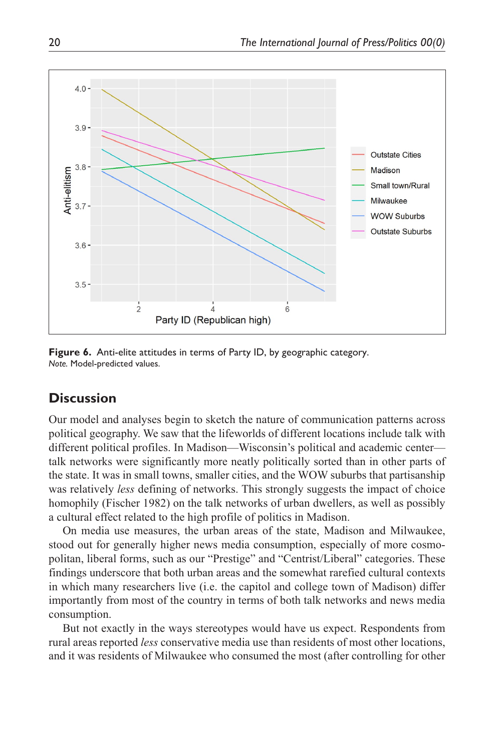

**Figure 6.** Anti-elite attitudes in terms of Party ID, by geographic category. *Note.* Model-predicted values.

## **Discussion**

Our model and analyses begin to sketch the nature of communication patterns across political geography. We saw that the lifeworlds of different locations include talk with different political profiles. In Madison—Wisconsin's political and academic center talk networks were significantly more neatly politically sorted than in other parts of the state. It was in small towns, smaller cities, and the WOW suburbs that partisanship was relatively *less* defining of networks. This strongly suggests the impact of choice homophily (Fischer 1982) on the talk networks of urban dwellers, as well as possibly a cultural effect related to the high profile of politics in Madison.

On media use measures, the urban areas of the state, Madison and Milwaukee, stood out for generally higher news media consumption, especially of more cosmopolitan, liberal forms, such as our "Prestige" and "Centrist/Liberal" categories. These findings underscore that both urban areas and the somewhat rarefied cultural contexts in which many researchers live (i.e. the capitol and college town of Madison) differ importantly from most of the country in terms of both talk networks and news media consumption.

But not exactly in the ways stereotypes would have us expect. Respondents from rural areas reported *less* conservative media use than residents of most other locations, and it was residents of Milwaukee who consumed the most (after controlling for other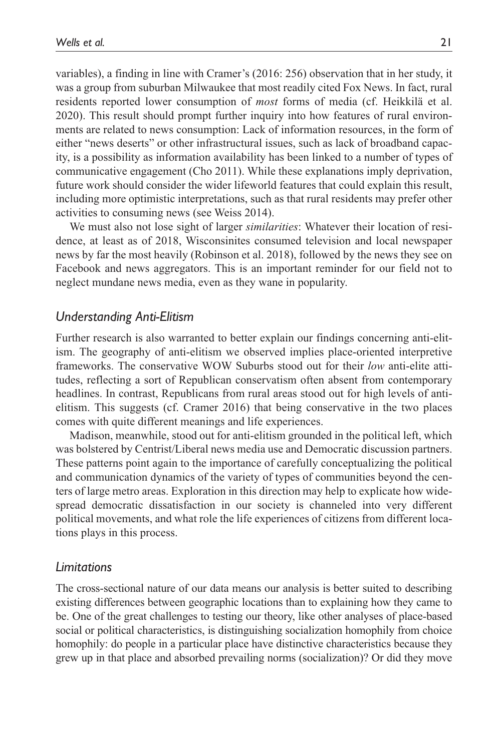variables), a finding in line with Cramer's (2016: 256) observation that in her study, it was a group from suburban Milwaukee that most readily cited Fox News. In fact, rural residents reported lower consumption of *most* forms of media (cf. Heikkilä et al. 2020). This result should prompt further inquiry into how features of rural environments are related to news consumption: Lack of information resources, in the form of either "news deserts" or other infrastructural issues, such as lack of broadband capacity, is a possibility as information availability has been linked to a number of types of communicative engagement (Cho 2011). While these explanations imply deprivation, future work should consider the wider lifeworld features that could explain this result, including more optimistic interpretations, such as that rural residents may prefer other activities to consuming news (see Weiss 2014).

We must also not lose sight of larger *similarities*: Whatever their location of residence, at least as of 2018, Wisconsinites consumed television and local newspaper news by far the most heavily (Robinson et al. 2018), followed by the news they see on Facebook and news aggregators. This is an important reminder for our field not to neglect mundane news media, even as they wane in popularity.

### *Understanding Anti-Elitism*

Further research is also warranted to better explain our findings concerning anti-elitism. The geography of anti-elitism we observed implies place-oriented interpretive frameworks. The conservative WOW Suburbs stood out for their *low* anti-elite attitudes, reflecting a sort of Republican conservatism often absent from contemporary headlines. In contrast, Republicans from rural areas stood out for high levels of antielitism. This suggests (cf. Cramer 2016) that being conservative in the two places comes with quite different meanings and life experiences.

Madison, meanwhile, stood out for anti-elitism grounded in the political left, which was bolstered by Centrist/Liberal news media use and Democratic discussion partners. These patterns point again to the importance of carefully conceptualizing the political and communication dynamics of the variety of types of communities beyond the centers of large metro areas. Exploration in this direction may help to explicate how widespread democratic dissatisfaction in our society is channeled into very different political movements, and what role the life experiences of citizens from different locations plays in this process.

### *Limitations*

The cross-sectional nature of our data means our analysis is better suited to describing existing differences between geographic locations than to explaining how they came to be. One of the great challenges to testing our theory, like other analyses of place-based social or political characteristics, is distinguishing socialization homophily from choice homophily: do people in a particular place have distinctive characteristics because they grew up in that place and absorbed prevailing norms (socialization)? Or did they move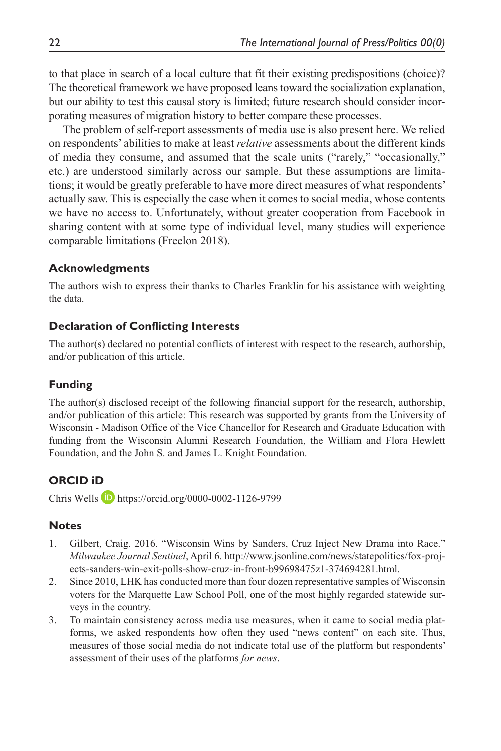to that place in search of a local culture that fit their existing predispositions (choice)? The theoretical framework we have proposed leans toward the socialization explanation, but our ability to test this causal story is limited; future research should consider incorporating measures of migration history to better compare these processes.

The problem of self-report assessments of media use is also present here. We relied on respondents' abilities to make at least *relative* assessments about the different kinds of media they consume, and assumed that the scale units ("rarely," "occasionally," etc.) are understood similarly across our sample. But these assumptions are limitations; it would be greatly preferable to have more direct measures of what respondents' actually saw. This is especially the case when it comes to social media, whose contents we have no access to. Unfortunately, without greater cooperation from Facebook in sharing content with at some type of individual level, many studies will experience comparable limitations (Freelon 2018).

### **Acknowledgments**

The authors wish to express their thanks to Charles Franklin for his assistance with weighting the data.

### **Declaration of Conflicting Interests**

The author(s) declared no potential conflicts of interest with respect to the research, authorship, and/or publication of this article.

### **Funding**

The author(s) disclosed receipt of the following financial support for the research, authorship, and/or publication of this article: This research was supported by grants from the University of Wisconsin - Madison Office of the Vice Chancellor for Research and Graduate Education with funding from the Wisconsin Alumni Research Foundation, the William and Flora Hewlett Foundation, and the John S. and James L. Knight Foundation.

## **ORCID iD**

Chris Wells <https://orcid.org/0000-0002-1126-9799>

### **Notes**

- 1. Gilbert, Craig. 2016. "Wisconsin Wins by Sanders, Cruz Inject New Drama into Race." *Milwaukee Journal Sentinel*, April 6. [http://www.jsonline.com/news/statepolitics/fox-proj](http://www.jsonline.com/news/statepolitics/fox-projects-sanders-win-exit-polls-show-cruz-in-front-b99698475z1-374694281.html)[ects-sanders-win-exit-polls-show-cruz-in-front-b99698475z1-374694281.html.](http://www.jsonline.com/news/statepolitics/fox-projects-sanders-win-exit-polls-show-cruz-in-front-b99698475z1-374694281.html)
- 2. Since 2010, LHK has conducted more than four dozen representative samples of Wisconsin voters for the Marquette Law School Poll, one of the most highly regarded statewide surveys in the country.
- 3. To maintain consistency across media use measures, when it came to social media platforms, we asked respondents how often they used "news content" on each site. Thus, measures of those social media do not indicate total use of the platform but respondents' assessment of their uses of the platforms *for news*.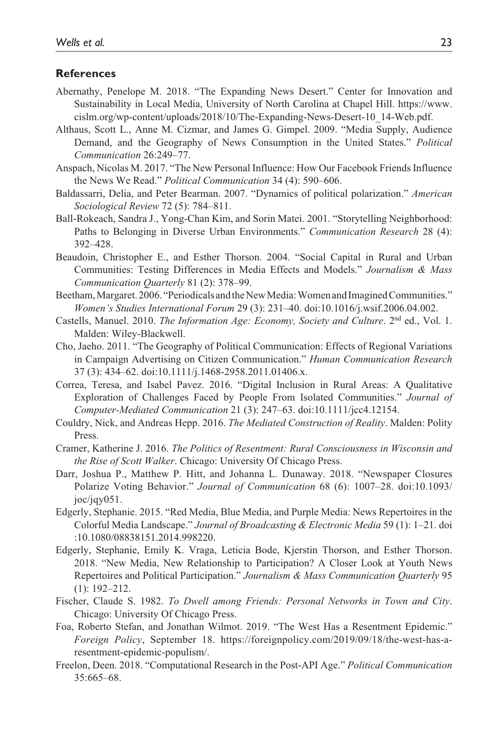#### **References**

- Abernathy, Penelope M. 2018. "The Expanding News Desert." Center for Innovation and Sustainability in Local Media, University of North Carolina at Chapel Hill. [https://www.](https://www.cislm.org/wp-content/uploads/2018/10/The-Expanding-News-Desert-10_14-Web.pdf) [cislm.org/wp-content/uploads/2018/10/The-Expanding-News-Desert-10\\_14-Web.pdf](https://www.cislm.org/wp-content/uploads/2018/10/The-Expanding-News-Desert-10_14-Web.pdf).
- Althaus, Scott L., Anne M. Cizmar, and James G. Gimpel. 2009. "Media Supply, Audience Demand, and the Geography of News Consumption in the United States." *Political Communication* 26:249–77.
- Anspach, Nicolas M. 2017. "The New Personal Influence: How Our Facebook Friends Influence the News We Read." *Political Communication* 34 (4): 590–606.
- Baldassarri, Delia, and Peter Bearman. 2007. "Dynamics of political polarization." *American Sociological Review* 72 (5): 784–811.
- Ball-Rokeach, Sandra J., Yong-Chan Kim, and Sorin Matei. 2001. "Storytelling Neighborhood: Paths to Belonging in Diverse Urban Environments." *Communication Research* 28 (4): 392–428.
- Beaudoin, Christopher E., and Esther Thorson. 2004. "Social Capital in Rural and Urban Communities: Testing Differences in Media Effects and Models." *Journalism & Mass Communication Quarterly* 81 (2): 378–99.
- Beetham, Margaret. 2006. "Periodicals and the New Media: Women and Imagined Communities." *Women's Studies International Forum* 29 (3): 231–40. doi:10.1016/j.wsif.2006.04.002.
- Castells, Manuel. 2010. *The Information Age: Economy, Society and Culture*. 2<sup>nd</sup> ed., Vol. 1. Malden: Wiley-Blackwell.
- Cho, Jaeho. 2011. "The Geography of Political Communication: Effects of Regional Variations in Campaign Advertising on Citizen Communication." *Human Communication Research* 37 (3): 434–62. doi:10.1111/j.1468-2958.2011.01406.x.
- Correa, Teresa, and Isabel Pavez. 2016. "Digital Inclusion in Rural Areas: A Qualitative Exploration of Challenges Faced by People From Isolated Communities." *Journal of Computer-Mediated Communication* 21 (3): 247–63. doi:10.1111/jcc4.12154.
- Couldry, Nick, and Andreas Hepp. 2016. *The Mediated Construction of Reality*. Malden: Polity Press.
- Cramer, Katherine J. 2016. *The Politics of Resentment: Rural Consciousness in Wisconsin and the Rise of Scott Walker*. Chicago: University Of Chicago Press.
- Darr, Joshua P., Matthew P. Hitt, and Johanna L. Dunaway. 2018. "Newspaper Closures Polarize Voting Behavior." *Journal of Communication* 68 (6): 1007–28. doi:10.1093/ joc/jqy051.
- Edgerly, Stephanie. 2015. "Red Media, Blue Media, and Purple Media: News Repertoires in the Colorful Media Landscape." *Journal of Broadcasting & Electronic Media* 59 (1): 1–21. doi :10.1080/08838151.2014.998220.
- Edgerly, Stephanie, Emily K. Vraga, Leticia Bode, Kjerstin Thorson, and Esther Thorson. 2018. "New Media, New Relationship to Participation? A Closer Look at Youth News Repertoires and Political Participation." *Journalism & Mass Communication Quarterly* 95 (1): 192–212.
- Fischer, Claude S. 1982. *To Dwell among Friends: Personal Networks in Town and City*. Chicago: University Of Chicago Press.
- Foa, Roberto Stefan, and Jonathan Wilmot. 2019. "The West Has a Resentment Epidemic." *Foreign Policy*, September 18. [https://foreignpolicy.com/2019/09/18/the-west-has-a](https://foreignpolicy.com/2019/09/18/the-west-has-a-resentment-epidemic-populism/)[resentment-epidemic-populism/](https://foreignpolicy.com/2019/09/18/the-west-has-a-resentment-epidemic-populism/).
- Freelon, Deen. 2018. "Computational Research in the Post-API Age." *Political Communication* 35:665–68.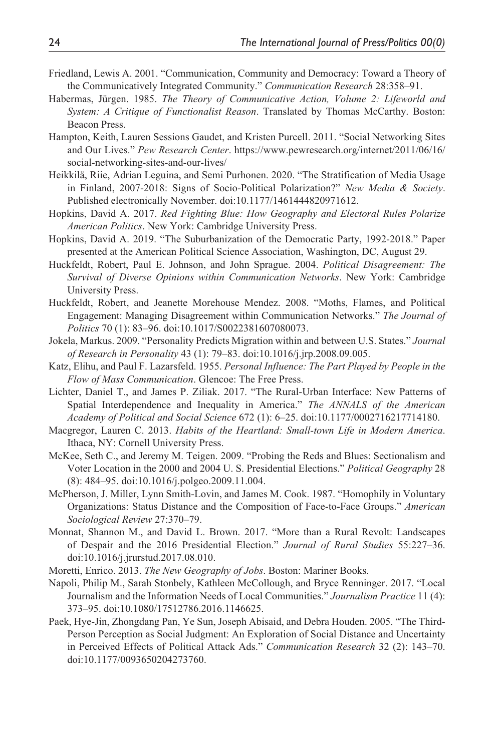- Friedland, Lewis A. 2001. "Communication, Community and Democracy: Toward a Theory of the Communicatively Integrated Community." *Communication Research* 28:358–91.
- Habermas, Jürgen. 1985. *The Theory of Communicative Action, Volume 2: Lifeworld and System: A Critique of Functionalist Reason*. Translated by Thomas McCarthy. Boston: Beacon Press.
- Hampton, Keith, Lauren Sessions Gaudet, and Kristen Purcell. 2011. "Social Networking Sites and Our Lives." *Pew Research Center*. [https://www.pewresearch.org/internet/2011/06/16/](https://www.pewresearch.org/internet/2011/06/16/social-networking-sites-and-our-lives/) [social-networking-sites-and-our-lives/](https://www.pewresearch.org/internet/2011/06/16/social-networking-sites-and-our-lives/)
- Heikkilä, Riie, Adrian Leguina, and Semi Purhonen. 2020. "The Stratification of Media Usage in Finland, 2007-2018: Signs of Socio-Political Polarization?" *New Media & Society*. Published electronically November. doi:10.1177/1461444820971612.
- Hopkins, David A. 2017. *Red Fighting Blue: How Geography and Electoral Rules Polarize American Politics*. New York: Cambridge University Press.
- Hopkins, David A. 2019. "The Suburbanization of the Democratic Party, 1992-2018." Paper presented at the American Political Science Association, Washington, DC, August 29.
- Huckfeldt, Robert, Paul E. Johnson, and John Sprague. 2004. *Political Disagreement: The Survival of Diverse Opinions within Communication Networks*. New York: Cambridge University Press.
- Huckfeldt, Robert, and Jeanette Morehouse Mendez. 2008. "Moths, Flames, and Political Engagement: Managing Disagreement within Communication Networks." *The Journal of Politics* 70 (1): 83–96. doi:10.1017/S0022381607080073.
- Jokela, Markus. 2009. "Personality Predicts Migration within and between U.S. States." *Journal of Research in Personality* 43 (1): 79–83. doi:10.1016/j.jrp.2008.09.005.
- Katz, Elihu, and Paul F. Lazarsfeld. 1955. *Personal Influence: The Part Played by People in the Flow of Mass Communication*. Glencoe: The Free Press.
- Lichter, Daniel T., and James P. Ziliak. 2017. "The Rural-Urban Interface: New Patterns of Spatial Interdependence and Inequality in America." *The ANNALS of the American Academy of Political and Social Science* 672 (1): 6–25. doi:10.1177/0002716217714180.
- Macgregor, Lauren C. 2013. *Habits of the Heartland: Small-town Life in Modern America*. Ithaca, NY: Cornell University Press.
- McKee, Seth C., and Jeremy M. Teigen. 2009. "Probing the Reds and Blues: Sectionalism and Voter Location in the 2000 and 2004 U. S. Presidential Elections." *Political Geography* 28 (8): 484–95. doi:10.1016/j.polgeo.2009.11.004.
- McPherson, J. Miller, Lynn Smith-Lovin, and James M. Cook. 1987. "Homophily in Voluntary Organizations: Status Distance and the Composition of Face-to-Face Groups." *American Sociological Review* 27:370–79.
- Monnat, Shannon M., and David L. Brown. 2017. "More than a Rural Revolt: Landscapes of Despair and the 2016 Presidential Election." *Journal of Rural Studies* 55:227–36. doi:10.1016/j.jrurstud.2017.08.010.
- Moretti, Enrico. 2013. *The New Geography of Jobs*. Boston: Mariner Books.
- Napoli, Philip M., Sarah Stonbely, Kathleen McCollough, and Bryce Renninger. 2017. "Local Journalism and the Information Needs of Local Communities." *Journalism Practice* 11 (4): 373–95. doi:10.1080/17512786.2016.1146625.
- Paek, Hye-Jin, Zhongdang Pan, Ye Sun, Joseph Abisaid, and Debra Houden. 2005. "The Third-Person Perception as Social Judgment: An Exploration of Social Distance and Uncertainty in Perceived Effects of Political Attack Ads." *Communication Research* 32 (2): 143–70. doi:10.1177/0093650204273760.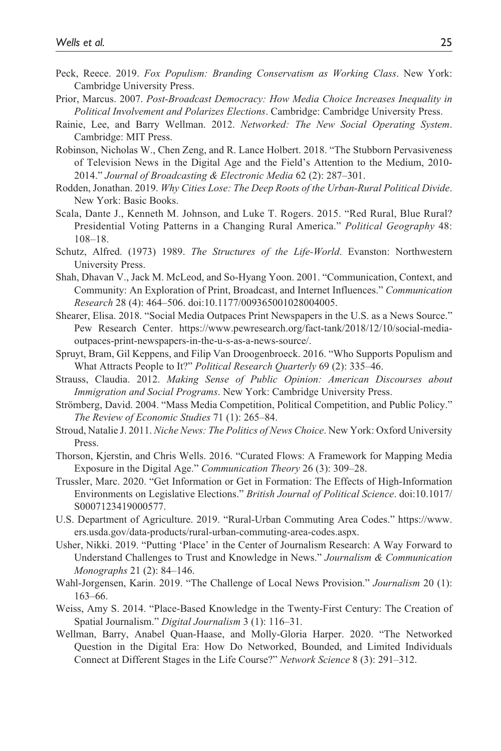- Peck, Reece. 2019. *Fox Populism: Branding Conservatism as Working Class*. New York: Cambridge University Press.
- Prior, Marcus. 2007. *Post-Broadcast Democracy: How Media Choice Increases Inequality in Political Involvement and Polarizes Elections*. Cambridge: Cambridge University Press.
- Rainie, Lee, and Barry Wellman. 2012. *Networked: The New Social Operating System*. Cambridge: MIT Press.
- Robinson, Nicholas W., Chen Zeng, and R. Lance Holbert. 2018. "The Stubborn Pervasiveness of Television News in the Digital Age and the Field's Attention to the Medium, 2010- 2014." *Journal of Broadcasting & Electronic Media* 62 (2): 287–301.
- Rodden, Jonathan. 2019. *Why Cities Lose: The Deep Roots of the Urban-Rural Political Divide*. New York: Basic Books.
- Scala, Dante J., Kenneth M. Johnson, and Luke T. Rogers. 2015. "Red Rural, Blue Rural? Presidential Voting Patterns in a Changing Rural America." *Political Geography* 48: 108–18.
- Schutz, Alfred. (1973) 1989. *The Structures of the Life-World*. Evanston: Northwestern University Press.
- Shah, Dhavan V., Jack M. McLeod, and So-Hyang Yoon. 2001. "Communication, Context, and Community: An Exploration of Print, Broadcast, and Internet Influences." *Communication Research* 28 (4): 464–506. doi:10.1177/009365001028004005.
- Shearer, Elisa. 2018. "Social Media Outpaces Print Newspapers in the U.S. as a News Source." Pew Research Center. [https://www.pewresearch.org/fact-tank/2018/12/10/social-media](https://www.pewresearch.org/fact-tank/2018/12/10/social-media-outpaces-print-newspapers-in-the-u-s-as-a-news-source/)[outpaces-print-newspapers-in-the-u-s-as-a-news-source/](https://www.pewresearch.org/fact-tank/2018/12/10/social-media-outpaces-print-newspapers-in-the-u-s-as-a-news-source/).
- Spruyt, Bram, Gil Keppens, and Filip Van Droogenbroeck. 2016. "Who Supports Populism and What Attracts People to It?" *Political Research Quarterly* 69 (2): 335–46.
- Strauss, Claudia. 2012. *Making Sense of Public Opinion: American Discourses about Immigration and Social Programs*. New York: Cambridge University Press.
- Strömberg, David. 2004. "Mass Media Competition, Political Competition, and Public Policy." *The Review of Economic Studies* 71 (1): 265–84.
- Stroud, Natalie J. 2011. *Niche News: The Politics of News Choice*. New York: Oxford University Press.
- Thorson, Kjerstin, and Chris Wells. 2016. "Curated Flows: A Framework for Mapping Media Exposure in the Digital Age." *Communication Theory* 26 (3): 309–28.
- Trussler, Marc. 2020. "Get Information or Get in Formation: The Effects of High-Information Environments on Legislative Elections." *British Journal of Political Science*. doi:10.1017/ S0007123419000577.
- U.S. Department of Agriculture. 2019. "Rural-Urban Commuting Area Codes." [https://www.](https://www.ers.usda.gov/data-products/rural-urban-commuting-area-codes.aspx) [ers.usda.gov/data-products/rural-urban-commuting-area-codes.aspx.](https://www.ers.usda.gov/data-products/rural-urban-commuting-area-codes.aspx)
- Usher, Nikki. 2019. "Putting 'Place' in the Center of Journalism Research: A Way Forward to Understand Challenges to Trust and Knowledge in News." *Journalism & Communication Monographs* 21 (2): 84–146.
- Wahl-Jorgensen, Karin. 2019. "The Challenge of Local News Provision." *Journalism* 20 (1): 163–66.
- Weiss, Amy S. 2014. "Place-Based Knowledge in the Twenty-First Century: The Creation of Spatial Journalism." *Digital Journalism* 3 (1): 116–31.
- Wellman, Barry, Anabel Quan-Haase, and Molly-Gloria Harper. 2020. "The Networked Question in the Digital Era: How Do Networked, Bounded, and Limited Individuals Connect at Different Stages in the Life Course?" *Network Science* 8 (3): 291–312.